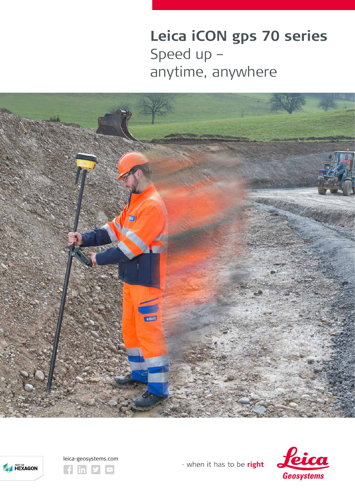Leica iCON gps 70 series Speed up anytime, anywhere









- when it has to be right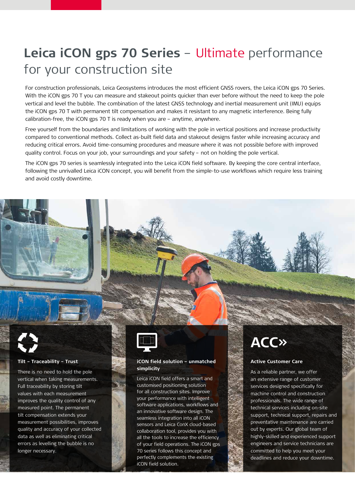## **Leica iCON gps 70 Series** – Ultimate performance for your construction site

For construction professionals, Leica Geosystems introduces the most efficient GNSS rovers, the Leica iCON gps 70 Series. With the iCON gps 70 T you can measure and stakeout points quicker than ever before without the need to keep the pole vertical and level the bubble. The combination of the latest GNSS technology and inertial measurement unit (IMU) equips the iCON gps 70 T with permanent tilt compensation and makes it resistant to any magnetic interference. Being fully calibration-free, the iCON gps 70 T is ready when you are – anytime, anywhere.

Free yourself from the boundaries and limitations of working with the pole in vertical positions and increase productivity compared to conventional methods. Collect as-built field data and stakeout designs faster while increasing accuracy and reducing critical errors. Avoid time-consuming procedures and measure where it was not possible before with improved quality control. Focus on your job, your surroundings and your safety - not on holding the pole vertical.

The iCON gps 70 series is seamlessly integrated into the Leica iCON field software. By keeping the core central interface, following the unrivalled Leica iCON concept, you will benefit from the simple-to-use workflows which require less training and avoid costly downtime.

#### **Tilt – Traceability – Trust**

There is no need to hold the pole vertical when taking measurements. Full traceability by storing tilt values with each measurement improves the quality control of any measured point. The permanent tilt compensation extends your measurement possibilities, improves quality and accuracy of your collected data as well as eliminating critical errors as levelling the bubble is no longer necessary.



#### **iCON field solution – unmatched simplicity**

Leica iCON field offers a smart and customised positioning solution for all construction sites. Improve your performance with intelligent software applications, workflows and an innovative software design. The seamless integration into all iCON sensors and Leica ConX cloud-based collaboration tool, provides you with all the tools to increase the efficiency of your field operations. The iCON gps 70 series follows this concept and perfectly complements the existing iCON field solution.

# **ACC»**

#### **Active Customer Care**

As a reliable partner, we offer an extensive range of customer services designed specifically for machine control and construction professionals. The wide range of technical services including on-site support, technical support, repairs and preventative maintenance are carried out by experts. Our global team of highly-skilled and experienced support engineers and service technicians are committed to help you meet your deadlines and reduce your downtime.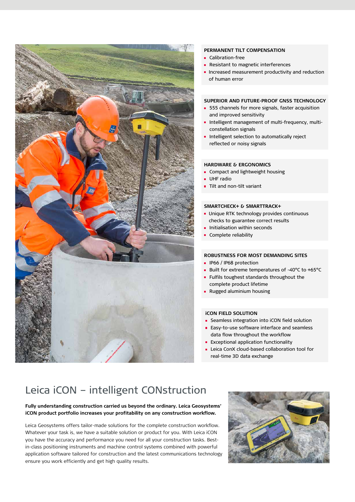

#### **PERMANENT TILT COMPENSATION**

- Calibration-free
- **Resistant to magnetic interferences**
- **Increased measurement productivity and reduction** of human error

#### **SUPERIOR AND FUTURE-PROOF GNSS TECHNOLOGY**

- **555** channels for more signals, faster acquisition and improved sensitivity
- **Intelligent management of multi-frequency, multi**constellation signals
- Intelligent selection to automatically reject reflected or noisy signals

#### **HARDWARE & ERGONOMICS**

- ĥ. Compact and lightweight housing
- UHF radio
- Tilt and non-tilt variant

#### **SMARTCHECK+ & SMARTTRACK+**

- **Unique RTK technology provides continuous** checks to guarantee correct results
- Initialisation within seconds
- Complete reliability

### **ROBUSTNESS FOR MOST DEMANDING SITES**

- **I** IP66 / IP68 protection
- Built for extreme temperatures of -40°C to +65°C
- **Fulfils toughest standards throughout the** complete product lifetime
- **Rugged aluminium housing**

#### **iCON FIELD SOLUTION**

- **EXECUTE: Seamless integration into iCON field solution**
- Easy-to-use software interface and seamless data flow throughout the workflow
- **Exceptional application functionality**
- **E** Leica ConX cloud-based collaboration tool for real-time 3D data exchange

### Leica iCON – intelligent CONstruction

#### **Fully understanding construction carried us beyond the ordinary. Leica Geosystems' iCON product portfolio increases your profitability on any construction workflow.**

Leica Geosystems offers tailor-made solutions for the complete construction workflow. Whatever your task is, we have a suitable solution or product for you. With Leica iCON you have the accuracy and performance you need for all your construction tasks. Bestin-class positioning instruments and machine control systems combined with powerful application software tailored for construction and the latest communications technology ensure you work efficiently and get high quality results.